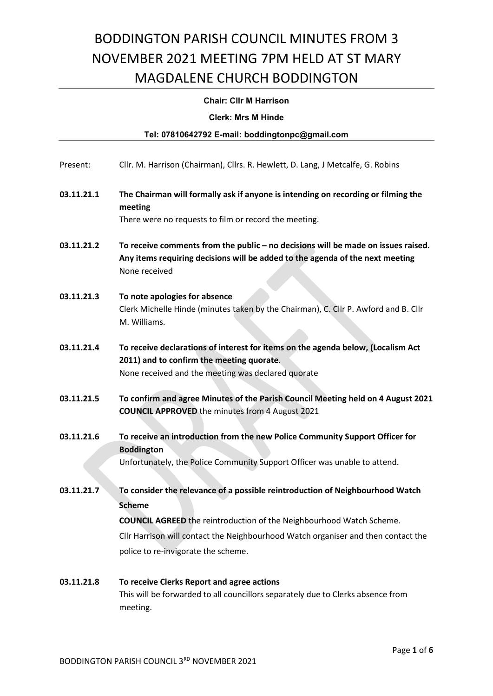### Chair: Cllr M Harrison

Clerk: Mrs M Hinde

|            | Tel: 07810642792 E-mail: boddingtonpc@gmail.com                                                                                                                                     |
|------------|-------------------------------------------------------------------------------------------------------------------------------------------------------------------------------------|
|            |                                                                                                                                                                                     |
| Present:   | Cllr. M. Harrison (Chairman), Cllrs. R. Hewlett, D. Lang, J Metcalfe, G. Robins                                                                                                     |
| 03.11.21.1 | The Chairman will formally ask if anyone is intending on recording or filming the<br>meeting                                                                                        |
|            | There were no requests to film or record the meeting.                                                                                                                               |
| 03.11.21.2 | To receive comments from the public - no decisions will be made on issues raised.<br>Any items requiring decisions will be added to the agenda of the next meeting<br>None received |
| 03.11.21.3 | To note apologies for absence<br>Clerk Michelle Hinde (minutes taken by the Chairman), C. Cllr P. Awford and B. Cllr<br>M. Williams.                                                |
| 03.11.21.4 | To receive declarations of interest for items on the agenda below, (Localism Act<br>2011) and to confirm the meeting quorate.<br>None received and the meeting was declared quorate |
| 03.11.21.5 | To confirm and agree Minutes of the Parish Council Meeting held on 4 August 2021<br><b>COUNCIL APPROVED</b> the minutes from 4 August 2021                                          |
| 03.11.21.6 | To receive an introduction from the new Police Community Support Officer for<br><b>Boddington</b><br>Unfortunately, the Police Community Support Officer was unable to attend.      |
| 03.11.21.7 | To consider the relevance of a possible reintroduction of Neighbourhood Watch<br><b>Scheme</b>                                                                                      |

Cllr Harrison will contact the Neighbourhood Watch organiser and then contact the

police to re-invigorate the scheme.

| 03.11.21.8 | To receive Clerks Report and agree actions                                      |
|------------|---------------------------------------------------------------------------------|
|            | This will be forwarded to all councillors separately due to Clerks absence from |
|            | meeting.                                                                        |

COUNCIL AGREED the reintroduction of the Neighbourhood Watch Scheme.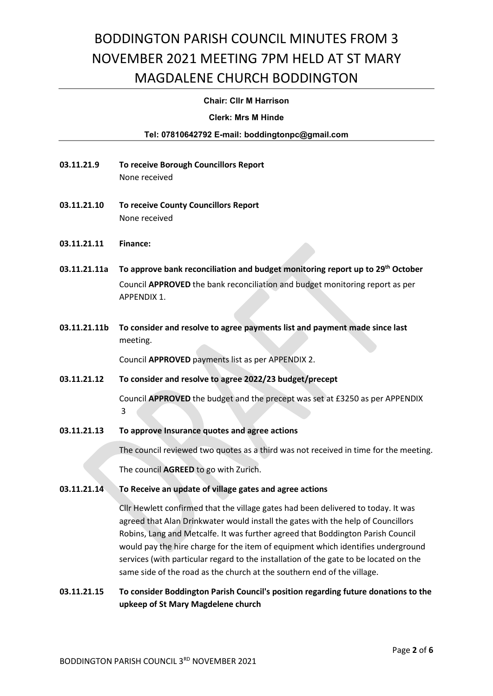#### Chair: Cllr M Harrison

#### Clerk: Mrs M Hinde

### Tel: 07810642792 E-mail: boddingtonpc@gmail.com

- 03.11.21.9 To receive Borough Councillors Report None received
- 03.11.21.10 To receive County Councillors Report None received
- 03.11.21.11 Finance:
- 03.11.21.11a To approve bank reconciliation and budget monitoring report up to 29<sup>th</sup> October Council APPROVED the bank reconciliation and budget monitoring report as per APPENDIX 1.
- 03.11.21.11b To consider and resolve to agree payments list and payment made since last meeting.

Council APPROVED payments list as per APPENDIX 2.

#### 03.11.21.12 To consider and resolve to agree 2022/23 budget/precept

 Council APPROVED the budget and the precept was set at £3250 as per APPENDIX 3

03.11.21.13 To approve Insurance quotes and agree actions

 The council reviewed two quotes as a third was not received in time for the meeting. The council AGREED to go with Zurich.

### 03.11.21.14 To Receive an update of village gates and agree actions

Cllr Hewlett confirmed that the village gates had been delivered to today. It was agreed that Alan Drinkwater would install the gates with the help of Councillors Robins, Lang and Metcalfe. It was further agreed that Boddington Parish Council would pay the hire charge for the item of equipment which identifies underground services (with particular regard to the installation of the gate to be located on the same side of the road as the church at the southern end of the village.

03.11.21.15 To consider Boddington Parish Council's position regarding future donations to the upkeep of St Mary Magdelene church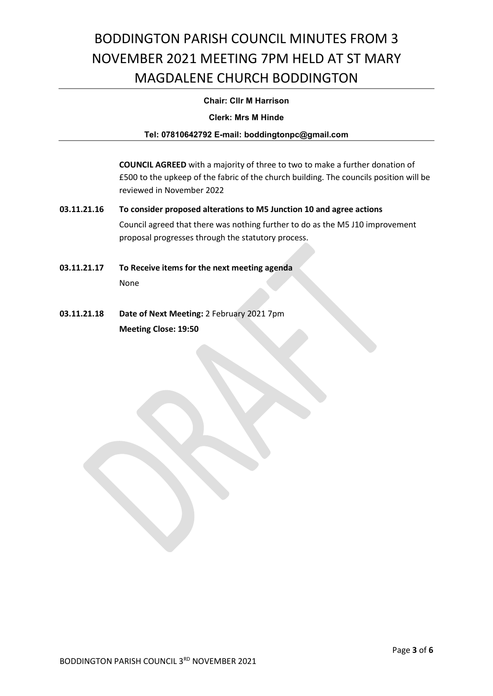### Chair: Cllr M Harrison

Clerk: Mrs M Hinde

### Tel: 07810642792 E-mail: boddingtonpc@gmail.com

 COUNCIL AGREED with a majority of three to two to make a further donation of £500 to the upkeep of the fabric of the church building. The councils position will be reviewed in November 2022

- 03.11.21.16 To consider proposed alterations to M5 Junction 10 and agree actions Council agreed that there was nothing further to do as the M5 J10 improvement proposal progresses through the statutory process.
- 03.11.21.17 To Receive items for the next meeting agenda None
- 03.11.21.18 Date of Next Meeting: 2 February 2021 7pm Meeting Close: 19:50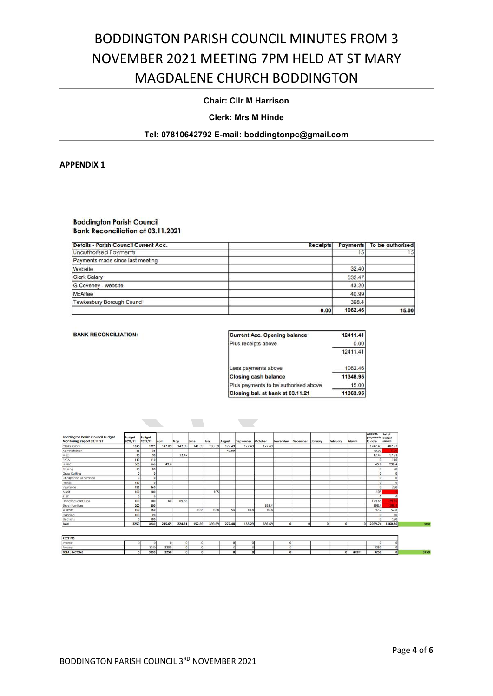### Chair: Cllr M Harrison

#### Clerk: Mrs M Hinde

#### Tel: 07810642792 E-mail: boddingtonpc@gmail.com

APPENDIX 1

**Boddington Parish Council Bank Reconciliation at 03.11.2021** 

| Details - Parish Council Current Acc. | <b>Receipts</b> | <b>Payments</b> | To be authorised |
|---------------------------------------|-----------------|-----------------|------------------|
| <b>Unauthorised Payments</b>          |                 |                 | 15               |
| Payments made since last meeting:     |                 |                 |                  |
| Website                               |                 | 32.40           |                  |
| <b>Clerk Salary</b>                   |                 | 532.47          |                  |
| G Coveney - website                   |                 | 43.20           |                  |
| McAffee                               |                 | 40.99           |                  |
| Tewkesbury Borough Council            |                 | 398.4           |                  |
|                                       | 0.00            | 1062.46         | 15.00            |

| <b>Current Acc. Opening balance</b>  | 12411.41 |
|--------------------------------------|----------|
| Plus receipts above                  | 0.00     |
|                                      | 12411.41 |
| Less payments above                  | 1062.46  |
| <b>Closing cash balance</b>          | 11348.95 |
| Plus payments to be authorised above | 15.00    |
| Closing bal. at bank at 03.11.21     | 11363.95 |

| <b>Boddington Parish Council Budget</b><br>Monitoring Report 03.11.21 | <b>Budget</b><br>2020/21 | <b>Budget</b><br>2022/21 | April  | May    | June   | July   | August | September October |        | November | December | January | February | March | Accum.<br>payments budget<br>to date | Bal. of<br>remain. |
|-----------------------------------------------------------------------|--------------------------|--------------------------|--------|--------|--------|--------|--------|-------------------|--------|----------|----------|---------|----------|-------|--------------------------------------|--------------------|
| Clerks Salary                                                         | 1690                     | 1725                     | 142.09 | 142.09 | 141.89 | 283.89 | 177.49 | 177.49            | 177.49 |          |          |         |          |       | 1242.43                              | 482.57             |
| Administration                                                        | 35                       | 35                       |        |        |        |        | 40.99  |                   |        |          |          |         |          |       | 40.99                                |                    |
| Misc                                                                  | 30                       | 30                       |        | 12.47  |        |        |        |                   |        |          |          |         |          |       | 12.47                                | 17.53              |
| PATA                                                                  | 110                      | 110                      |        |        |        |        |        |                   |        |          |          |         |          |       |                                      | 110                |
| HMRC                                                                  | 300                      | 300                      | 43.6   |        |        |        |        |                   |        |          |          |         |          |       | 43.6                                 | 256.4              |
| Training                                                              | 50                       | 50                       |        |        |        |        |        |                   |        |          |          |         |          |       |                                      | 50                 |
| Grass Cutting                                                         |                          |                          |        |        |        |        |        |                   |        |          |          |         |          |       |                                      |                    |
| Chairperson Allowance                                                 | $\Omega$                 |                          |        |        |        |        |        |                   |        |          |          |         |          |       |                                      |                    |
| Hirings                                                               | 180                      |                          |        |        |        |        |        |                   |        |          |          |         |          |       |                                      |                    |
| Insurance                                                             | 255                      | 260                      |        |        |        |        |        |                   |        |          |          |         |          |       |                                      | 260                |
| Audit                                                                 | 100                      | 100                      |        |        |        | 105    |        |                   |        |          |          |         |          |       | 105                                  |                    |
| S137                                                                  | $\Omega$                 |                          |        |        |        |        |        |                   |        |          |          |         |          |       |                                      |                    |
| Donations and Subs                                                    | 100                      | 100                      | 60     | 69.65  |        |        |        |                   |        |          |          |         |          |       | 129.65                               |                    |
| Street Furniture                                                      | 200                      | 200                      |        |        |        |        |        |                   | 398.4  |          |          |         |          |       | 398.4                                | 198                |
| Website                                                               | 100                      | 150                      |        |        | 10.8   | 10.8   | 54     | 10.8              | 10.8   |          |          |         |          |       | 97.2                                 | 52.8               |
| Planning                                                              | 100                      | 20                       |        |        |        |        |        |                   |        |          |          |         |          |       |                                      | 20                 |
| Elections                                                             |                          | 150                      |        |        |        |        |        |                   |        |          |          |         |          |       |                                      | 150                |
| Total                                                                 | 3250                     | 3230                     | 245.69 | 224.21 | 152.69 | 399.69 | 272.48 | 188.29            | 586.69 | $\Omega$ | $\Omega$ | n       |          |       | 2069.74<br>ΩI                        | 1160.26            |

 $\sum_{i=1}^{n}$ 

| <b>RECEIPTS</b>     |      |      |  |  |  |  |   |      |              |  |
|---------------------|------|------|--|--|--|--|---|------|--------------|--|
| Interest            |      |      |  |  |  |  |   |      |              |  |
| Precep              | 3250 | 3250 |  |  |  |  |   |      | 3250         |  |
| <b>TOTAL INCOME</b> | 3250 | 3250 |  |  |  |  | o | #REF | 3250<br>3451 |  |

**Contract** 

**Contract Contract**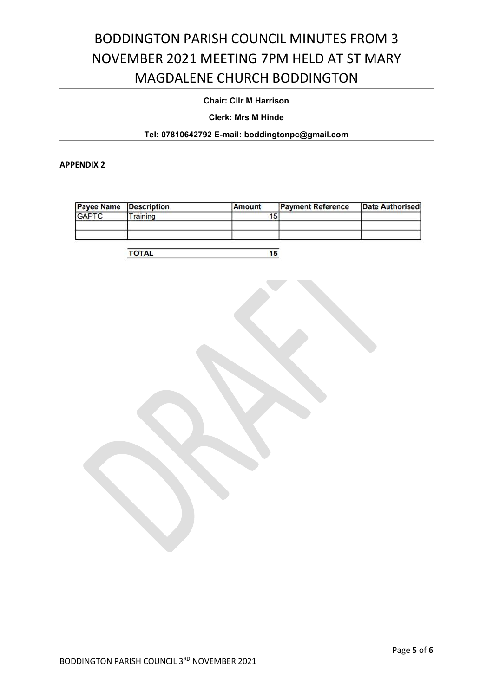### Chair: Cllr M Harrison

Clerk: Mrs M Hinde

### Tel: 07810642792 E-mail: boddingtonpc@gmail.com

APPENDIX 2

| <b>Payee Name Description</b> |          | Amount | <b>Payment Reference</b> | Date Authorised |
|-------------------------------|----------|--------|--------------------------|-----------------|
| <b>GAPTC</b>                  | Training | Ð      |                          |                 |
|                               |          |        |                          |                 |
|                               |          |        |                          |                 |

**TOTAL**  $\overline{15}$